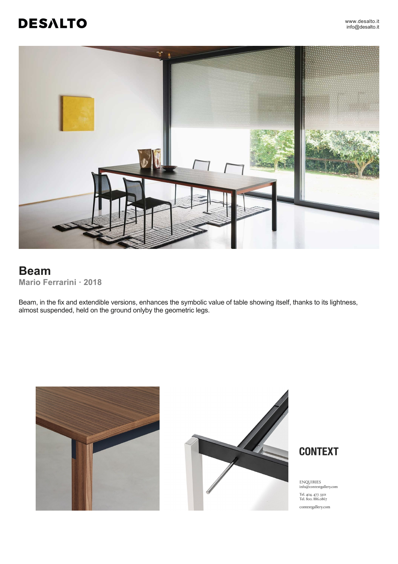# **DESALTO**



## **Beam Mario Ferrarini ꞏ 2018**

Beam, in the fix and extendible versions, enhances the symbolic value of table showing itself, thanks to its lightness, almost suspended, held on the ground onlyby the geometric legs.







ENQUIRIES<br>info@contextgallery.com Tel. 404. 477. 3301<br>Tel. 800. 886.0867  $\text{contextgally}, \text{com}$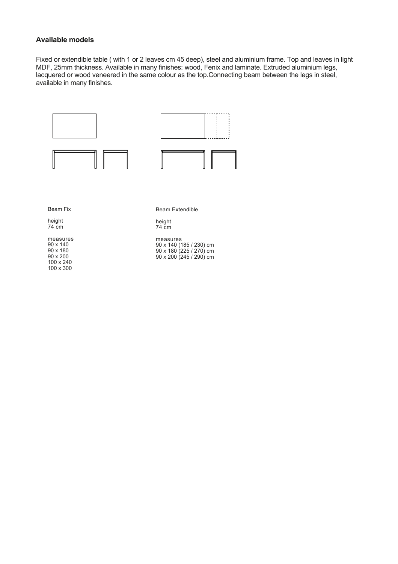## **Available models**

Fixed or extendible table ( with 1 or 2 leaves cm 45 deep), steel and aluminium frame. Top and leaves in light MDF, 25mm thickness. Available in many finishes: wood, Fenix and laminate. Extruded aluminium legs, lacquered or wood veneered in the same colour as the top.Connecting beam between the legs in steel, available in many finishes.

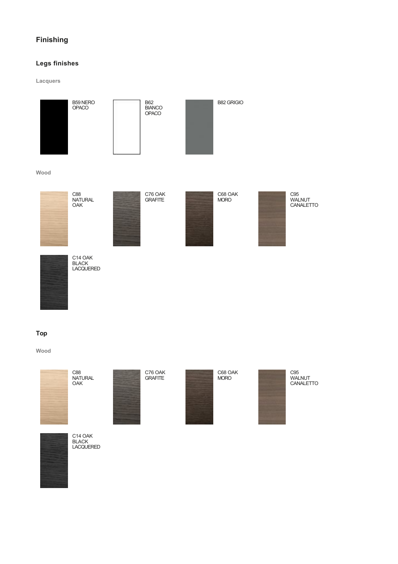## **Finishing**

## **Legs finishes**

**Lacquers**



### **Top**

**Wood**





C88 NATURAL OAK



C76 OAK GRAFITE



C68 OAK MORO



C95 WALNUT CANALETTO